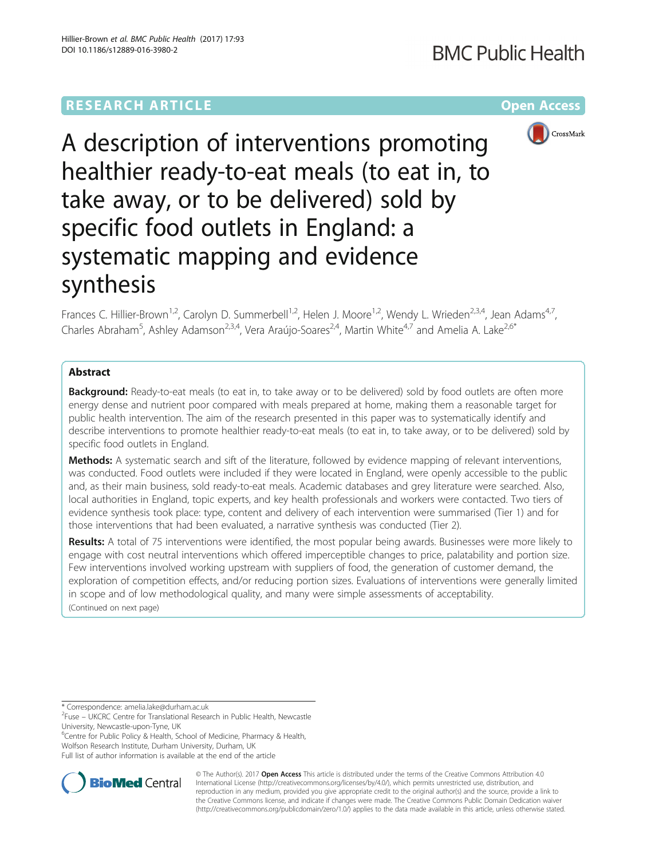# **RESEARCH ARTICLE Example 2014 12:30 The Community Community Community Community Community Community Community**



A description of interventions promoting healthier ready-to-eat meals (to eat in, to take away, or to be delivered) sold by specific food outlets in England: a systematic mapping and evidence synthesis

Frances C. Hillier-Brown<sup>1,2</sup>, Carolyn D. Summerbell<sup>1,2</sup>, Helen J. Moore<sup>1,2</sup>, Wendy L. Wrieden<sup>2,3,4</sup>, Jean Adams<sup>4,7</sup>, Charles Abraham<sup>5</sup>, Ashley Adamson<sup>2,3,4</sup>, Vera Araújo-Soares<sup>2,4</sup>, Martin White<sup>4,7</sup> and Amelia A. Lake<sup>2,6\*</sup>

## Abstract

**Background:** Ready-to-eat meals (to eat in, to take away or to be delivered) sold by food outlets are often more energy dense and nutrient poor compared with meals prepared at home, making them a reasonable target for public health intervention. The aim of the research presented in this paper was to systematically identify and describe interventions to promote healthier ready-to-eat meals (to eat in, to take away, or to be delivered) sold by specific food outlets in England.

**Methods:** A systematic search and sift of the literature, followed by evidence mapping of relevant interventions, was conducted. Food outlets were included if they were located in England, were openly accessible to the public and, as their main business, sold ready-to-eat meals. Academic databases and grey literature were searched. Also, local authorities in England, topic experts, and key health professionals and workers were contacted. Two tiers of evidence synthesis took place: type, content and delivery of each intervention were summarised (Tier 1) and for those interventions that had been evaluated, a narrative synthesis was conducted (Tier 2).

Results: A total of 75 interventions were identified, the most popular being awards. Businesses were more likely to engage with cost neutral interventions which offered imperceptible changes to price, palatability and portion size. Few interventions involved working upstream with suppliers of food, the generation of customer demand, the exploration of competition effects, and/or reducing portion sizes. Evaluations of interventions were generally limited in scope and of low methodological quality, and many were simple assessments of acceptability. (Continued on next page)

\* Correspondence: [amelia.lake@durham.ac.uk](mailto:amelia.lake@durham.ac.uk) <sup>2</sup>

<sup>6</sup>Centre for Public Policy & Health, School of Medicine, Pharmacy & Health, Wolfson Research Institute, Durham University, Durham, UK

Full list of author information is available at the end of the article



© The Author(s). 2017 **Open Access** This article is distributed under the terms of the Creative Commons Attribution 4.0 International License [\(http://creativecommons.org/licenses/by/4.0/](http://creativecommons.org/licenses/by/4.0/)), which permits unrestricted use, distribution, and reproduction in any medium, provided you give appropriate credit to the original author(s) and the source, provide a link to the Creative Commons license, and indicate if changes were made. The Creative Commons Public Domain Dedication waiver [\(http://creativecommons.org/publicdomain/zero/1.0/](http://creativecommons.org/publicdomain/zero/1.0/)) applies to the data made available in this article, unless otherwise stated.

<sup>&</sup>lt;sup>2</sup>Fuse – UKCRC Centre for Translational Research in Public Health, Newcastle University, Newcastle-upon-Tyne, UK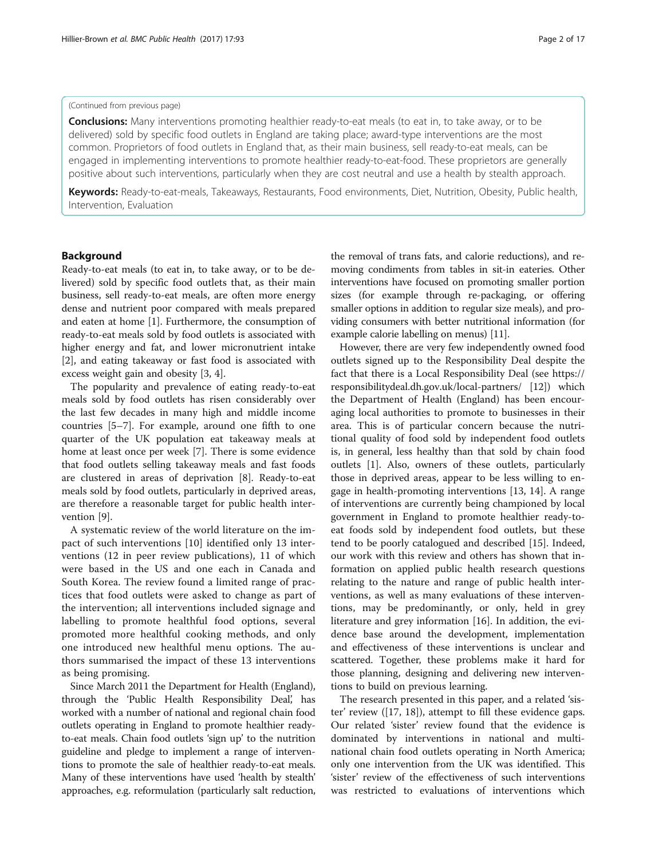#### (Continued from previous page)

Conclusions: Many interventions promoting healthier ready-to-eat meals (to eat in, to take away, or to be delivered) sold by specific food outlets in England are taking place; award-type interventions are the most common. Proprietors of food outlets in England that, as their main business, sell ready-to-eat meals, can be engaged in implementing interventions to promote healthier ready-to-eat-food. These proprietors are generally positive about such interventions, particularly when they are cost neutral and use a health by stealth approach.

Keywords: Ready-to-eat-meals, Takeaways, Restaurants, Food environments, Diet, Nutrition, Obesity, Public health, Intervention, Evaluation

### Background

Ready-to-eat meals (to eat in, to take away, or to be delivered) sold by specific food outlets that, as their main business, sell ready-to-eat meals, are often more energy dense and nutrient poor compared with meals prepared and eaten at home [\[1](#page-15-0)]. Furthermore, the consumption of ready-to-eat meals sold by food outlets is associated with higher energy and fat, and lower micronutrient intake [[2\]](#page-15-0), and eating takeaway or fast food is associated with excess weight gain and obesity [[3, 4\]](#page-15-0).

The popularity and prevalence of eating ready-to-eat meals sold by food outlets has risen considerably over the last few decades in many high and middle income countries [\[5](#page-15-0)–[7](#page-15-0)]. For example, around one fifth to one quarter of the UK population eat takeaway meals at home at least once per week [[7](#page-15-0)]. There is some evidence that food outlets selling takeaway meals and fast foods are clustered in areas of deprivation [\[8](#page-15-0)]. Ready-to-eat meals sold by food outlets, particularly in deprived areas, are therefore a reasonable target for public health intervention [\[9](#page-15-0)].

A systematic review of the world literature on the impact of such interventions [[10\]](#page-15-0) identified only 13 interventions (12 in peer review publications), 11 of which were based in the US and one each in Canada and South Korea. The review found a limited range of practices that food outlets were asked to change as part of the intervention; all interventions included signage and labelling to promote healthful food options, several promoted more healthful cooking methods, and only one introduced new healthful menu options. The authors summarised the impact of these 13 interventions as being promising.

Since March 2011 the Department for Health (England), through the 'Public Health Responsibility Deal', has worked with a number of national and regional chain food outlets operating in England to promote healthier readyto-eat meals. Chain food outlets 'sign up' to the nutrition guideline and pledge to implement a range of interventions to promote the sale of healthier ready-to-eat meals. Many of these interventions have used 'health by stealth' approaches, e.g. reformulation (particularly salt reduction, the removal of trans fats, and calorie reductions), and removing condiments from tables in sit-in eateries. Other interventions have focused on promoting smaller portion sizes (for example through re-packaging, or offering smaller options in addition to regular size meals), and providing consumers with better nutritional information (for example calorie labelling on menus) [\[11](#page-15-0)].

However, there are very few independently owned food outlets signed up to the Responsibility Deal despite the fact that there is a Local Responsibility Deal (see [https://](https://responsibilitydeal.dh.gov.uk/local-partners/) [responsibilitydeal.dh.gov.uk/local-partners/](https://responsibilitydeal.dh.gov.uk/local-partners/) [[12\]](#page-15-0)) which the Department of Health (England) has been encouraging local authorities to promote to businesses in their area. This is of particular concern because the nutritional quality of food sold by independent food outlets is, in general, less healthy than that sold by chain food outlets [[1\]](#page-15-0). Also, owners of these outlets, particularly those in deprived areas, appear to be less willing to engage in health-promoting interventions [\[13](#page-15-0), [14](#page-15-0)]. A range of interventions are currently being championed by local government in England to promote healthier ready-toeat foods sold by independent food outlets, but these tend to be poorly catalogued and described [\[15\]](#page-15-0). Indeed, our work with this review and others has shown that information on applied public health research questions relating to the nature and range of public health interventions, as well as many evaluations of these interventions, may be predominantly, or only, held in grey literature and grey information [\[16](#page-15-0)]. In addition, the evidence base around the development, implementation and effectiveness of these interventions is unclear and scattered. Together, these problems make it hard for those planning, designing and delivering new interventions to build on previous learning.

The research presented in this paper, and a related 'sister' review ([[17](#page-15-0), [18\]](#page-15-0)), attempt to fill these evidence gaps. Our related 'sister' review found that the evidence is dominated by interventions in national and multinational chain food outlets operating in North America; only one intervention from the UK was identified. This 'sister' review of the effectiveness of such interventions was restricted to evaluations of interventions which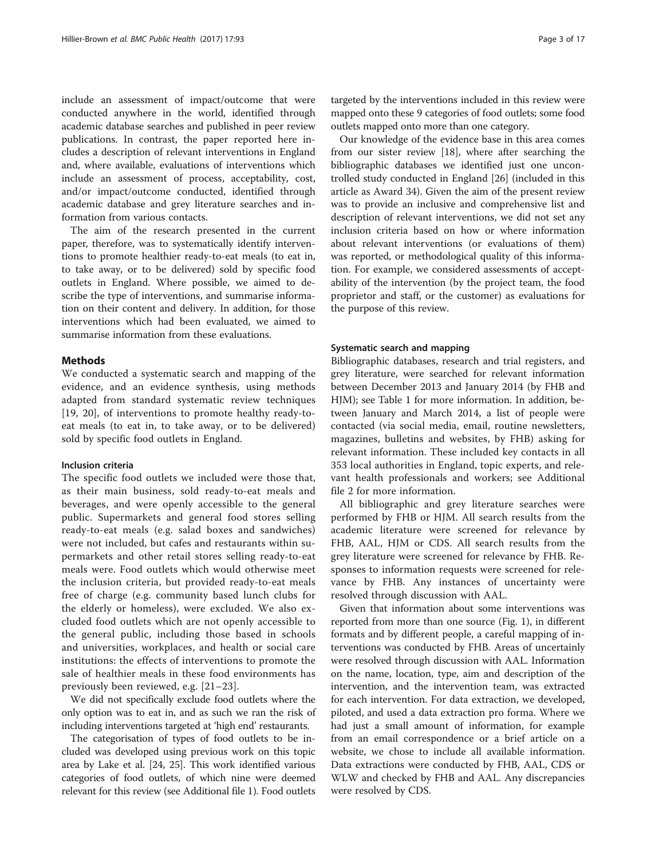include an assessment of impact/outcome that were conducted anywhere in the world, identified through academic database searches and published in peer review publications. In contrast, the paper reported here includes a description of relevant interventions in England and, where available, evaluations of interventions which include an assessment of process, acceptability, cost, and/or impact/outcome conducted, identified through academic database and grey literature searches and information from various contacts.

The aim of the research presented in the current paper, therefore, was to systematically identify interventions to promote healthier ready-to-eat meals (to eat in, to take away, or to be delivered) sold by specific food outlets in England. Where possible, we aimed to describe the type of interventions, and summarise information on their content and delivery. In addition, for those interventions which had been evaluated, we aimed to summarise information from these evaluations.

### Methods

We conducted a systematic search and mapping of the evidence, and an evidence synthesis, using methods adapted from standard systematic review techniques [[19, 20](#page-16-0)], of interventions to promote healthy ready-toeat meals (to eat in, to take away, or to be delivered) sold by specific food outlets in England.

#### Inclusion criteria

The specific food outlets we included were those that, as their main business, sold ready-to-eat meals and beverages, and were openly accessible to the general public. Supermarkets and general food stores selling ready-to-eat meals (e.g. salad boxes and sandwiches) were not included, but cafes and restaurants within supermarkets and other retail stores selling ready-to-eat meals were. Food outlets which would otherwise meet the inclusion criteria, but provided ready-to-eat meals free of charge (e.g. community based lunch clubs for the elderly or homeless), were excluded. We also excluded food outlets which are not openly accessible to the general public, including those based in schools and universities, workplaces, and health or social care institutions: the effects of interventions to promote the sale of healthier meals in these food environments has previously been reviewed, e.g. [\[21](#page-16-0)–[23\]](#page-16-0).

We did not specifically exclude food outlets where the only option was to eat in, and as such we ran the risk of including interventions targeted at 'high end' restaurants.

The categorisation of types of food outlets to be included was developed using previous work on this topic area by Lake et al. [\[24, 25\]](#page-16-0). This work identified various categories of food outlets, of which nine were deemed relevant for this review (see Additional file [1](#page-14-0)). Food outlets

targeted by the interventions included in this review were mapped onto these 9 categories of food outlets; some food outlets mapped onto more than one category.

Our knowledge of the evidence base in this area comes from our sister review [\[18](#page-15-0)], where after searching the bibliographic databases we identified just one uncontrolled study conducted in England [\[26](#page-16-0)] (included in this article as Award 34). Given the aim of the present review was to provide an inclusive and comprehensive list and description of relevant interventions, we did not set any inclusion criteria based on how or where information about relevant interventions (or evaluations of them) was reported, or methodological quality of this information. For example, we considered assessments of acceptability of the intervention (by the project team, the food proprietor and staff, or the customer) as evaluations for the purpose of this review.

#### Systematic search and mapping

Bibliographic databases, research and trial registers, and grey literature, were searched for relevant information between December 2013 and January 2014 (by FHB and HJM); see Table [1](#page-3-0) for more information. In addition, between January and March 2014, a list of people were contacted (via social media, email, routine newsletters, magazines, bulletins and websites, by FHB) asking for relevant information. These included key contacts in all 353 local authorities in England, topic experts, and relevant health professionals and workers; see Additional file [2](#page-14-0) for more information.

All bibliographic and grey literature searches were performed by FHB or HJM. All search results from the academic literature were screened for relevance by FHB, AAL, HJM or CDS. All search results from the grey literature were screened for relevance by FHB. Responses to information requests were screened for relevance by FHB. Any instances of uncertainty were resolved through discussion with AAL.

Given that information about some interventions was reported from more than one source (Fig. [1\)](#page-4-0), in different formats and by different people, a careful mapping of interventions was conducted by FHB. Areas of uncertainly were resolved through discussion with AAL. Information on the name, location, type, aim and description of the intervention, and the intervention team, was extracted for each intervention. For data extraction, we developed, piloted, and used a data extraction pro forma. Where we had just a small amount of information, for example from an email correspondence or a brief article on a website, we chose to include all available information. Data extractions were conducted by FHB, AAL, CDS or WLW and checked by FHB and AAL. Any discrepancies were resolved by CDS.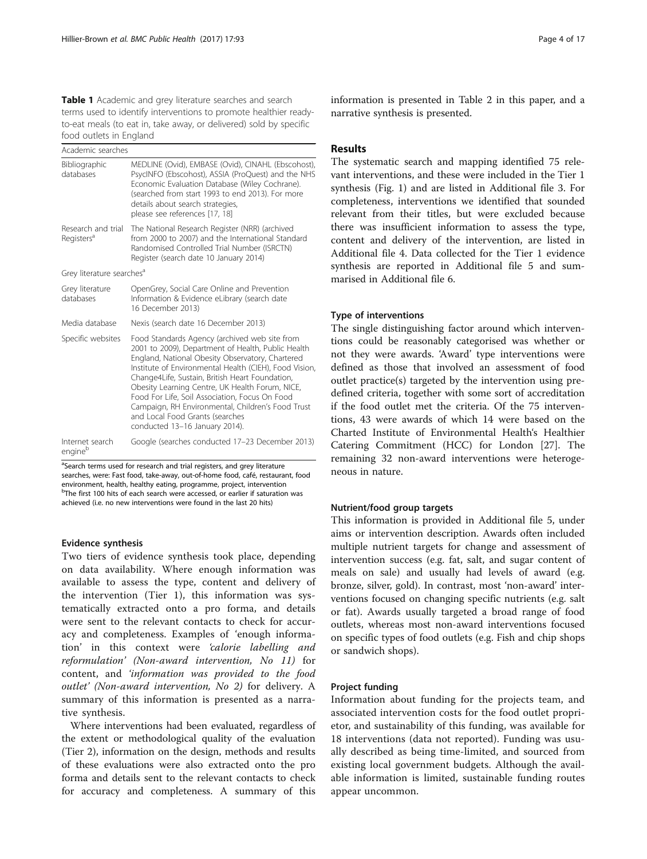<span id="page-3-0"></span>Table 1 Academic and grey literature searches and search terms used to identify interventions to promote healthier readyto-eat meals (to eat in, take away, or delivered) sold by specific food outlets in England

| Academic searches                            |                                                                                                                                                                                                                                                                                                                                                                                                                                                                                                     |
|----------------------------------------------|-----------------------------------------------------------------------------------------------------------------------------------------------------------------------------------------------------------------------------------------------------------------------------------------------------------------------------------------------------------------------------------------------------------------------------------------------------------------------------------------------------|
| Bibliographic<br>databases                   | MEDLINE (Ovid), EMBASE (Ovid), CINAHL (Ebscohost),<br>PsycINFO (Ebscohost), ASSIA (ProQuest) and the NHS<br>Economic Evaluation Database (Wiley Cochrane).<br>(searched from start 1993 to end 2013). For more<br>details about search strategies,<br>please see references [17, 18]                                                                                                                                                                                                                |
| Research and trial<br>Registers <sup>a</sup> | The National Research Register (NRR) (archived<br>from 2000 to 2007) and the International Standard<br>Randomised Controlled Trial Number (ISRCTN)<br>Register (search date 10 January 2014)                                                                                                                                                                                                                                                                                                        |
| Grey literature searches <sup>a</sup>        |                                                                                                                                                                                                                                                                                                                                                                                                                                                                                                     |
| Grey literature<br>databases                 | OpenGrey, Social Care Online and Prevention<br>Information & Evidence eLibrary (search date<br>16 December 2013)                                                                                                                                                                                                                                                                                                                                                                                    |
| Media database                               | Nexis (search date 16 December 2013)                                                                                                                                                                                                                                                                                                                                                                                                                                                                |
| Specific websites                            | Food Standards Agency (archived web site from<br>2001 to 2009), Department of Health, Public Health<br>England, National Obesity Observatory, Chartered<br>Institute of Environmental Health (CIEH), Food Vision,<br>Change4Life, Sustain, British Heart Foundation,<br>Obesity Learning Centre, UK Health Forum, NICE,<br>Food For Life, Soil Association, Focus On Food<br>Campaign, RH Environmental, Children's Food Trust<br>and Local Food Grants (searches<br>conducted 13-16 January 2014). |
| Internet search<br>engineb                   | Google (searches conducted 17-23 December 2013)                                                                                                                                                                                                                                                                                                                                                                                                                                                     |

<sup>a</sup>Search terms used for research and trial registers, and grey literature searches, were: Fast food, take-away, out-of-home food, café, restaurant, food environment, health, healthy eating, programme, project, intervention <sup>b</sup>The first 100 hits of each search were accessed, or earlier if saturation was achieved (i.e. no new interventions were found in the last 20 hits)

#### Evidence synthesis

Two tiers of evidence synthesis took place, depending on data availability. Where enough information was available to assess the type, content and delivery of the intervention (Tier 1), this information was systematically extracted onto a pro forma, and details were sent to the relevant contacts to check for accuracy and completeness. Examples of 'enough information' in this context were 'calorie labelling and reformulation' (Non-award intervention, No 11) for content, and 'information was provided to the food outlet' (Non-award intervention, No 2) for delivery. A summary of this information is presented as a narrative synthesis.

Where interventions had been evaluated, regardless of the extent or methodological quality of the evaluation (Tier 2), information on the design, methods and results of these evaluations were also extracted onto the pro forma and details sent to the relevant contacts to check for accuracy and completeness. A summary of this

information is presented in Table [2](#page-5-0) in this paper, and a narrative synthesis is presented.

## Results

The systematic search and mapping identified 75 relevant interventions, and these were included in the Tier 1 synthesis (Fig. [1\)](#page-4-0) and are listed in Additional file [3.](#page-14-0) For completeness, interventions we identified that sounded relevant from their titles, but were excluded because there was insufficient information to assess the type, content and delivery of the intervention, are listed in Additional file [4.](#page-14-0) Data collected for the Tier 1 evidence synthesis are reported in Additional file [5](#page-14-0) and summarised in Additional file [6](#page-14-0).

### Type of interventions

The single distinguishing factor around which interventions could be reasonably categorised was whether or not they were awards. 'Award' type interventions were defined as those that involved an assessment of food outlet practice(s) targeted by the intervention using predefined criteria, together with some sort of accreditation if the food outlet met the criteria. Of the 75 interventions, 43 were awards of which 14 were based on the Charted Institute of Environmental Health's Healthier Catering Commitment (HCC) for London [[27\]](#page-16-0). The remaining 32 non-award interventions were heterogeneous in nature.

#### Nutrient/food group targets

This information is provided in Additional file [5,](#page-14-0) under aims or intervention description. Awards often included multiple nutrient targets for change and assessment of intervention success (e.g. fat, salt, and sugar content of meals on sale) and usually had levels of award (e.g. bronze, silver, gold). In contrast, most 'non-award' interventions focused on changing specific nutrients (e.g. salt or fat). Awards usually targeted a broad range of food outlets, whereas most non-award interventions focused on specific types of food outlets (e.g. Fish and chip shops or sandwich shops).

#### Project funding

Information about funding for the projects team, and associated intervention costs for the food outlet proprietor, and sustainability of this funding, was available for 18 interventions (data not reported). Funding was usually described as being time-limited, and sourced from existing local government budgets. Although the available information is limited, sustainable funding routes appear uncommon.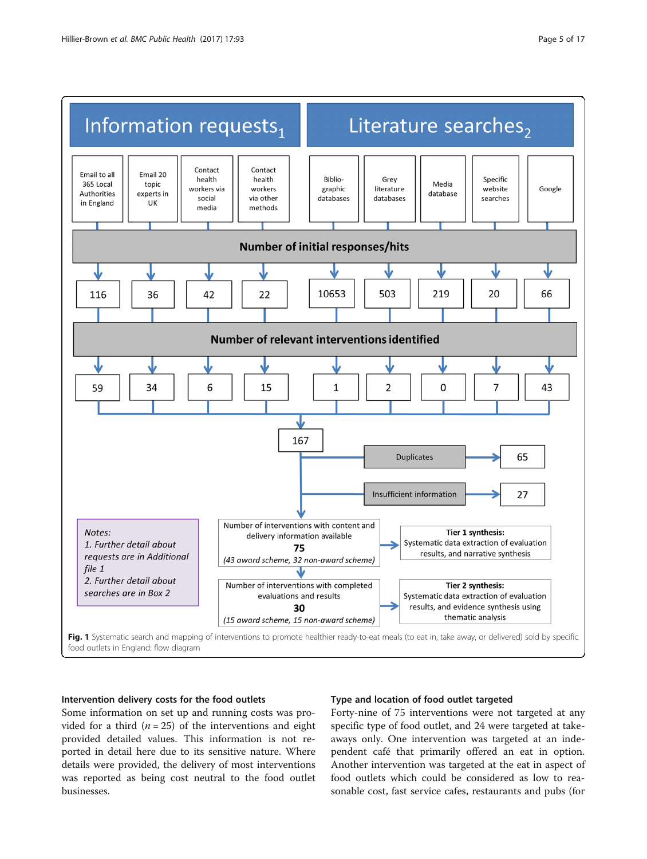<span id="page-4-0"></span>

## Intervention delivery costs for the food outlets

Some information on set up and running costs was provided for a third ( $n = 25$ ) of the interventions and eight provided detailed values. This information is not reported in detail here due to its sensitive nature. Where details were provided, the delivery of most interventions was reported as being cost neutral to the food outlet businesses.

## Type and location of food outlet targeted

Forty-nine of 75 interventions were not targeted at any specific type of food outlet, and 24 were targeted at takeaways only. One intervention was targeted at an independent café that primarily offered an eat in option. Another intervention was targeted at the eat in aspect of food outlets which could be considered as low to reasonable cost, fast service cafes, restaurants and pubs (for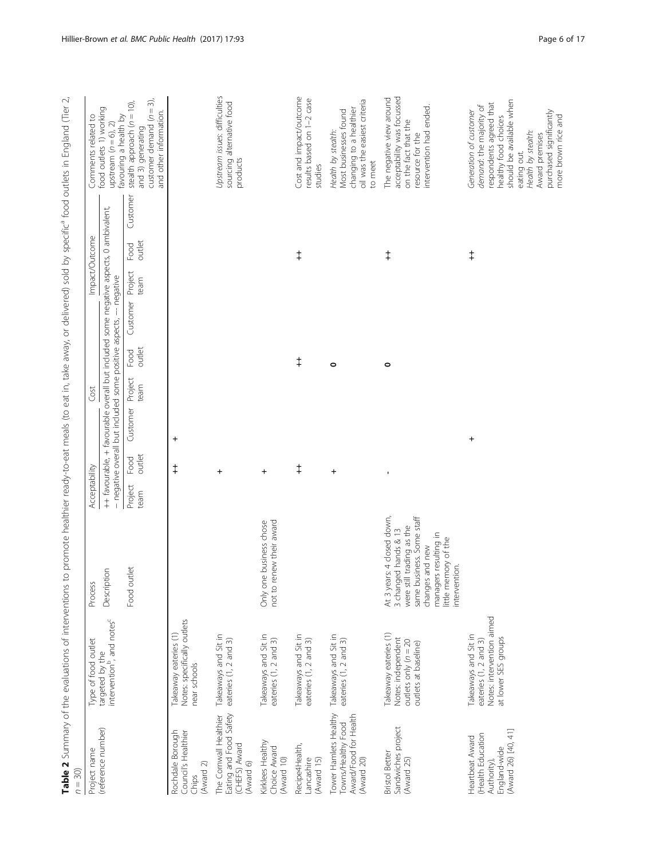<span id="page-5-0"></span>

| $n = 30$                                                                                   |                                                                                                   |                                                                                                                                                                                                   |                                   |                                                                    |                                                                                       |                                                                                                                                                                                                                                           |
|--------------------------------------------------------------------------------------------|---------------------------------------------------------------------------------------------------|---------------------------------------------------------------------------------------------------------------------------------------------------------------------------------------------------|-----------------------------------|--------------------------------------------------------------------|---------------------------------------------------------------------------------------|-------------------------------------------------------------------------------------------------------------------------------------------------------------------------------------------------------------------------------------------|
| Project name                                                                               | Type of food outlet                                                                               | Process                                                                                                                                                                                           | Acceptability                     | Cost                                                               | Impact/Outcome                                                                        | Comments related to                                                                                                                                                                                                                       |
| (reference number)                                                                         | intervention <sup>b</sup> , and notes <sup>c</sup><br>targeted by the                             | ion<br>Descripti                                                                                                                                                                                  |                                   | - negative overall but included some positive aspects, -- negative | ++ favourable, + favourable overall but included some negative aspects, 0 ambivalent, | food outlets 1) working<br>favouring a health by<br>upstream $(n = 6)$ , 2)                                                                                                                                                               |
|                                                                                            |                                                                                                   | Food outlet                                                                                                                                                                                       | outlet<br>Food<br>Project<br>team | outlet<br>Food<br>Project<br>team<br>Customer                      | Customer<br>outlet<br>Food<br>Project<br>team<br>Customer                             | customer demand $(n = 3)$ ,<br>stealth approach $(n = 10)$ ,<br>and other information.<br>and 3) generating                                                                                                                               |
| Rochdale Borough<br>Council's Healthier<br>(Award 2)<br>Chips                              | Notes: specifically outlets<br>Takeaway eateries (1)<br>near schools                              |                                                                                                                                                                                                   | $\ddot{}$<br>$\ddagger$           |                                                                    |                                                                                       |                                                                                                                                                                                                                                           |
| Eating and Food Safety<br>The Cornwall Healthier<br>(CHEFS) Award<br>(Award 6)             | Takeaways and Sit in<br>eateries (1, 2 and 3)                                                     |                                                                                                                                                                                                   | $\ddot{}$                         |                                                                    |                                                                                       | Upstream issues: difficulties<br>sourcing alternative food<br>products                                                                                                                                                                    |
| Kirklees Healthy<br>Choice Award<br>(Award 10)                                             | Takeaways and Sit in<br>eateries (1, 2 and 3)                                                     | not to renew their award<br>Only one business chose                                                                                                                                               | $\ddot{}$                         |                                                                    |                                                                                       |                                                                                                                                                                                                                                           |
| Recipe4Health,<br>Lancashire<br>(Award 15)                                                 | Takeaways and Sit in<br>eateries (1, 2 and 3)                                                     |                                                                                                                                                                                                   | $\ddagger$                        | $\ddagger$                                                         | $\ddagger$                                                                            | Cost and impact/outcome<br>results based on 1-2 case<br>studies                                                                                                                                                                           |
| Tower Hamlets Healthy<br>Award/Food for Health<br>Towns/Healthy Food<br>(Award 20)         | Takeaways and Sit in<br>eateries (1, 2 and 3)                                                     |                                                                                                                                                                                                   | $\ddot{}$                         | $\circ$                                                            |                                                                                       | oil was the easiest criteria<br>changing to a healthier<br>Most businesses found<br>Health by stealth:<br>to meet                                                                                                                         |
| Sandwiches project<br><b>Bristol Better</b><br>(Award 25)                                  | Takeaway eateries (1)<br>Notes: independent<br>outlets only $(n = 20$<br>outlets at baseline)     | At 3 years: 4 closed down,<br>same business. Some staff<br>were still trading as the<br>3 changed hands & 13<br>managers resulting in<br>little memory of the<br>changes and new<br>intervention. | J,                                | 0                                                                  | $\ddagger$                                                                            | acceptability was focussed<br>The negative view around<br>intervention had ended.<br>on the fact that the<br>resource for the                                                                                                             |
| (Award 26) [40, 41]<br>(Health Education<br>Heartbeat Award<br>England-wide<br>Authority), | Notes: intervention aimed<br>Takeaways and Sit in<br>at lower SES groups<br>eateries (1, 2 and 3) |                                                                                                                                                                                                   | +                                 |                                                                    | $\ddagger$                                                                            | should be available when<br>respondents agreed that<br>demand: the majority of<br>purchased significantly<br>Generation of customer<br>more brown rice and<br>healthy food choices<br>Health by stealth:<br>Award premises<br>eating out. |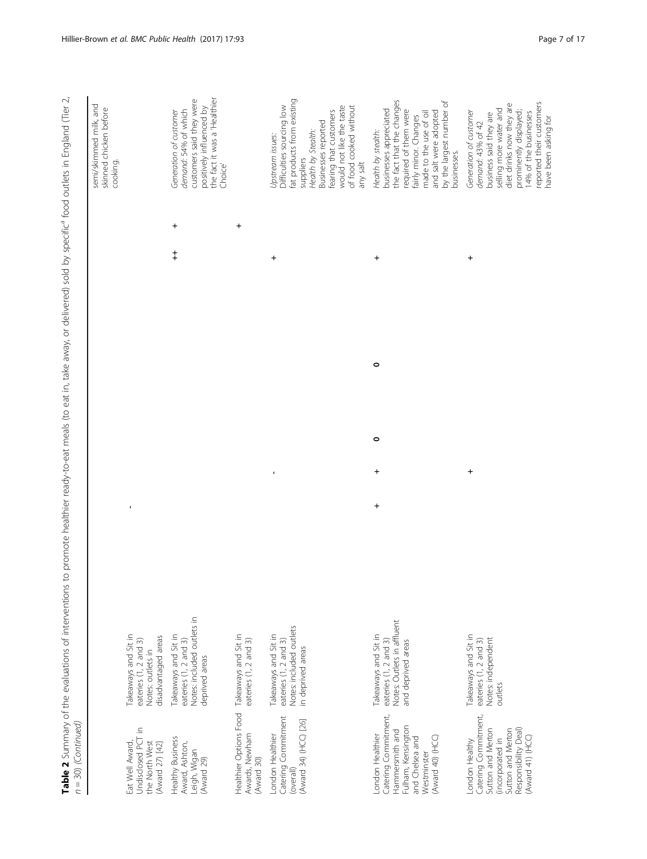| semi/skimmed milk, and<br>skinned chicken before<br>cooking. |                                                                                           | the fact it was a 'Healthier<br>customers said they were<br>positively influenced by<br>demand: 54% of which<br>Generation of customer<br>Choice'<br>$\ddot{}$<br>$\ddagger$ | $\ddot{}$                                                                   | fat products from existing<br>Difficulties sourcing low<br>of food cooked without<br>would not like the taste<br>fearing that customers<br><b>Businesses</b> reported<br>Health by Stealth:<br>Upstream issues:<br>suppliers<br>any salt<br>+ | the fact that the changes<br>by the largest number of<br>businesses appreciated<br>required of them were<br>and salt were adopted<br>made to the use of oil<br>fairly minor. Changes<br>Health by stealth:<br>businesses.<br>$\pmb{+}$<br>$\circ$ | diet drinks now they are<br>selling more water and<br>prominently displayed;<br>Generation of customer<br>14% of the businesses<br>business said they are<br>demand: 43% of 42<br>+ |
|--------------------------------------------------------------|-------------------------------------------------------------------------------------------|------------------------------------------------------------------------------------------------------------------------------------------------------------------------------|-----------------------------------------------------------------------------|-----------------------------------------------------------------------------------------------------------------------------------------------------------------------------------------------------------------------------------------------|---------------------------------------------------------------------------------------------------------------------------------------------------------------------------------------------------------------------------------------------------|-------------------------------------------------------------------------------------------------------------------------------------------------------------------------------------|
|                                                              |                                                                                           |                                                                                                                                                                              |                                                                             |                                                                                                                                                                                                                                               | $\circ$                                                                                                                                                                                                                                           |                                                                                                                                                                                     |
|                                                              | $\blacksquare$                                                                            |                                                                                                                                                                              |                                                                             | $\blacksquare$                                                                                                                                                                                                                                | $\pmb{+}$<br>$\ddot{}$                                                                                                                                                                                                                            | +                                                                                                                                                                                   |
|                                                              | Takeaways and Sit in<br>disadvantaged areas<br>eateries (1, 2 and 3)<br>Notes: outlets in | Notes: included outlets in<br>Takeaways and Sit in<br>eateries (1, 2 and 3)<br>deprived areas                                                                                | eateries (1, 2 and 3)                                                       | Notes: included outlets<br>Takeaways and Sit in<br>eateries (1, 2 and 3)<br>in deprived areas                                                                                                                                                 | Notes: Outlets in affluent<br>Takeaways and Sit in<br>eateries (1, 2 and 3)<br>and deprived areas                                                                                                                                                 | Takeaways and Sit in<br>Notes: independent<br>eateries (1, 2 and 3)<br>outlets                                                                                                      |
|                                                              | Undisclosed PCT in<br>Eat Well Award,<br>the North West<br>(Award 27) [42]                | Healthy Business<br>Award, Ashton,<br>Leigh, Wigan<br>(Award 29)                                                                                                             | Healthier Options Food Takeaways and Sit in<br>Awards, Newham<br>(Award 30) | Catering Commitment<br>(Award 34) (HCC) [26]<br>London Healthier<br>(overall)                                                                                                                                                                 | Catering Commitment,<br>Fulham, Kensington<br>Hammersmith and<br>London Healthier<br>(Award 40) (HCC)<br>and Chelsea and<br>Westminster                                                                                                           | Catering Commitment,<br>Sutton and Merton<br>Sutton and Merton<br>Responsibility Deal)<br>(Award 41) (HCC)<br>(incorporated in<br>London Healthy                                    |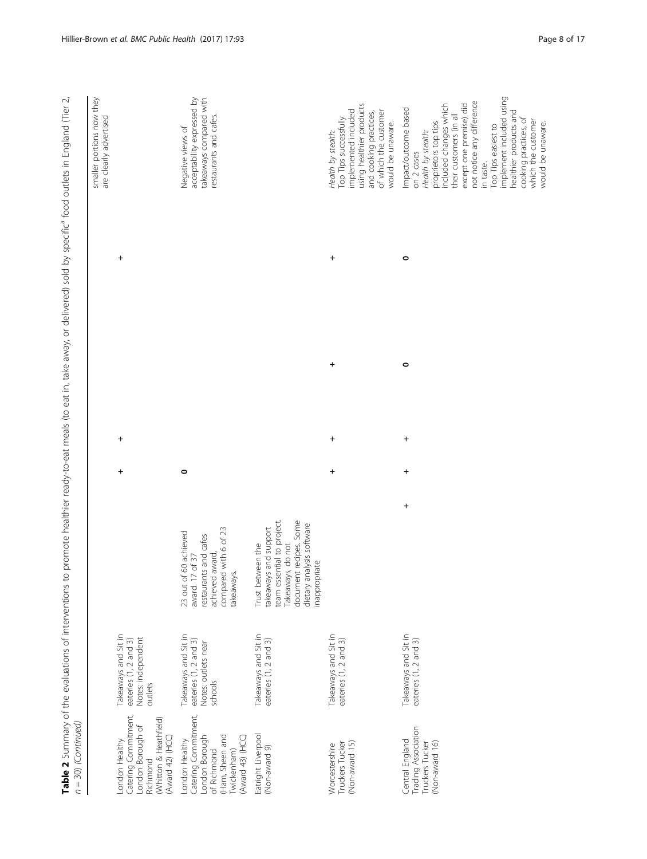| $n = 30$ ) (Continued)                                                                                                        | Table 2 Summary of the evaluations of interventions to                          |                                                                                                                                                                       |           |           |           |   | promote healthier ready-to-eat meals (to eat in, take away, or delivered) sold by specific <sup>a</sup> food outlets in England (Tier 2,                                                                                                                                                                                                                    |
|-------------------------------------------------------------------------------------------------------------------------------|---------------------------------------------------------------------------------|-----------------------------------------------------------------------------------------------------------------------------------------------------------------------|-----------|-----------|-----------|---|-------------------------------------------------------------------------------------------------------------------------------------------------------------------------------------------------------------------------------------------------------------------------------------------------------------------------------------------------------------|
|                                                                                                                               |                                                                                 |                                                                                                                                                                       |           |           |           |   | smaller portions now they<br>are clearly advertised                                                                                                                                                                                                                                                                                                         |
| Catering Commitment,<br>London Borough of<br>(Whitton & Heathfield)<br>(Award 42) (HCC)<br>London Healthy<br>Richmond         | Takeaways and Sit in<br>Notes: independent<br>eateries (1, 2 and 3)<br>outlets  |                                                                                                                                                                       | +         | $\ddot{}$ |           | + |                                                                                                                                                                                                                                                                                                                                                             |
| Catering Commitment,<br>London Borough<br>(Ham, Sheen and<br>(Award 43) (HCC)<br>London Healthy<br>of Richmond<br>[wickenham] | Takeaways and Sit in<br>eateries (1, 2 and 3)<br>Notes: outlets near<br>schools | compared with 6 of 23<br>23 out of 60 achieved<br>restaurants and cafes<br>achieved award,<br>I7 of 37<br>takeaways.<br>award. 1                                      | $\circ$   |           |           |   | takeaways compared with<br>acceptability expressed by<br>restaurants and cafes.<br>Negative views of                                                                                                                                                                                                                                                        |
| Eatright Liverpool<br>(Non-award 9)                                                                                           | Takeaways and Sit in<br>eateries (1, 2 and 3)                                   | document recipes. Some<br>team essential to project.<br>dietary analysis software<br>takeaways and support<br>Trust between the<br>Takeaways, do not<br>inappropriate |           |           |           |   |                                                                                                                                                                                                                                                                                                                                                             |
| (Non-award 15)<br>Truckers Tucker<br>Worcestershire                                                                           | Takeaways and Sit in<br>eateries (1, 2 and 3)                                   |                                                                                                                                                                       | $\ddot{}$ | $\ddot{}$ | $\ddot{}$ | + | using healthier products<br>implemented included<br>of which the customer<br>and cooking practices,<br>Top Tips successfully<br>would be unaware.<br>Health by stealth:                                                                                                                                                                                     |
| Trading Association<br>Central England<br>Truckers Tucker<br>(Non-award 16)                                                   | Takeaways and Sit in<br>eateries (1, 2 and 3)                                   | $\ddot{}$                                                                                                                                                             | $\ddot{}$ | $\ddot{}$ | 0         | 0 | implement included using<br>not notice any difference<br>included changes which<br>except one premise) did<br>Impact/outcome based<br>healthier products and<br>their customers (in all<br>cooking practices, of<br>which the customer<br>proprietors top tips<br>would be unaware.<br>Top Tips easiest to<br>Health by stealth:<br>on 2 cases<br>in taste. |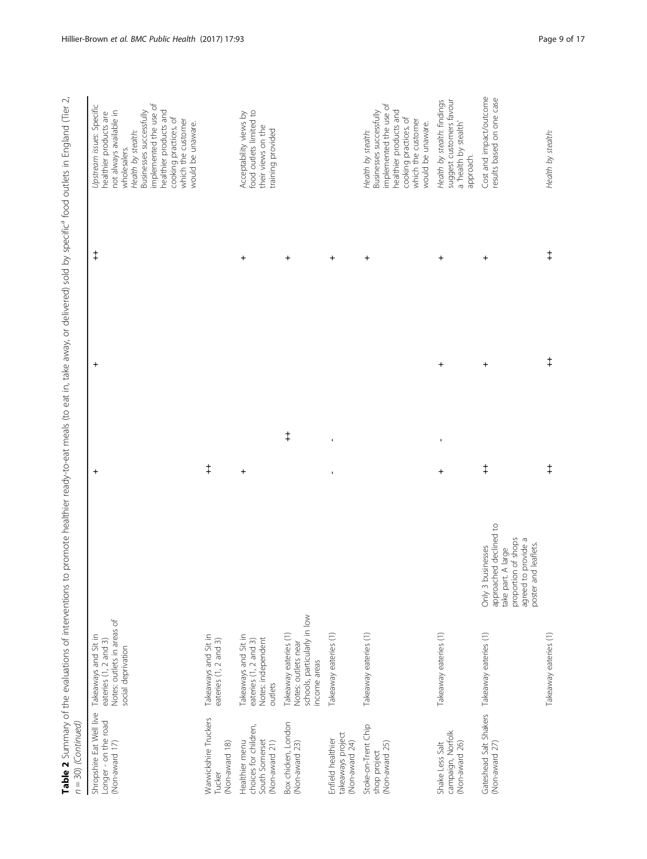| $n = 30$ ) (Continued)                                                      |                                                                                                   | Table 2 Summary of the evaluations of interventions to promote healthier ready-to-eat meals (to eat in, take away, or delivered) sold by specific <sup>a</sup> food outlets in England (Tier 2, |                             |            |            |                                                                                                                                                                                                                                                                         |
|-----------------------------------------------------------------------------|---------------------------------------------------------------------------------------------------|-------------------------------------------------------------------------------------------------------------------------------------------------------------------------------------------------|-----------------------------|------------|------------|-------------------------------------------------------------------------------------------------------------------------------------------------------------------------------------------------------------------------------------------------------------------------|
| Shropshire Eat Well live<br>Longer - on the road<br>(Non-award 17)          | Notes: outlets in areas of<br>Takeaways and Sit in<br>eateries (1, 2 and 3)<br>social deprivation |                                                                                                                                                                                                 | $\ddot{}$                   | $\ddot{}$  | $\ddagger$ | implemented the use of<br>Upstream issues: Specific<br>healthier products and<br>not always available in<br>Businesses successfully<br>healthier products are<br>cooking practices, of<br>which the customer<br>would be unaware.<br>Health by stealth:<br>wholesalers. |
| Warwickshire Truckers<br>(Non-award 18)<br>Tucker                           | Takeaways and Sit in<br>eateries (1, 2 and 3)                                                     |                                                                                                                                                                                                 | $\ddagger$                  |            |            |                                                                                                                                                                                                                                                                         |
| choices for children,<br>South Somerset<br>Healthier menu<br>(Non-award 21) | Takeaways and Sit in<br>Notes: independent<br>eateries (1, 2 and 3)<br>outlets                    |                                                                                                                                                                                                 | $\ddot{}$                   |            | $\pmb{+}$  | food outlets limited to<br>Acceptability views by<br>their views on the<br>training provided                                                                                                                                                                            |
| Box chicken, London<br>(Non-award 23)                                       | schools, particularly in low<br>Takeaway eateries (1)<br>Notes: outlets near<br>income areas      |                                                                                                                                                                                                 | $\ddagger$                  |            | $\ddot{}$  |                                                                                                                                                                                                                                                                         |
| takeaways project<br>Enfield healthier<br>(Non-award 24)                    | Takeaway eateries (1)                                                                             |                                                                                                                                                                                                 | J,<br>×,                    |            | +          |                                                                                                                                                                                                                                                                         |
| Stoke-on-Trent Chip<br>(Non-award 25)<br>shop project                       | Takeaway eateries (1)                                                                             |                                                                                                                                                                                                 |                             |            | $\ddot{}$  | implemented the use of<br>healthier products and<br>Businesses successfully<br>cooking practices, of<br>which the customer<br>would be unaware.<br>Health by stealth:                                                                                                   |
| campaign, Norfolk<br>Shake Less Salt<br>(Non-award 26)                      | Takeaway eateries (1)                                                                             |                                                                                                                                                                                                 | $\blacksquare$<br>$\pmb{+}$ | $\pmb{+}$  | $\ddot{}$  | suggest customers favour<br>Health by stealth: findings<br>a 'health by stealth'<br>approach.                                                                                                                                                                           |
| Gateshead Salt Shakers Takeaway eateries (1)<br>(Non-award 27)              |                                                                                                   | approached declined to<br>proportion of shops<br>agreed to provide a<br>poster and leaflets.<br>Only 3 businesses<br>take part. A large                                                         | $\ddagger$                  | $\ddot{}$  | +          | Cost and impact/outcome<br>results based on one case                                                                                                                                                                                                                    |
|                                                                             | Takeaway eateries (1)                                                                             |                                                                                                                                                                                                 | $\ddagger$                  | $\ddagger$ | $\ddagger$ | Health by stealth:                                                                                                                                                                                                                                                      |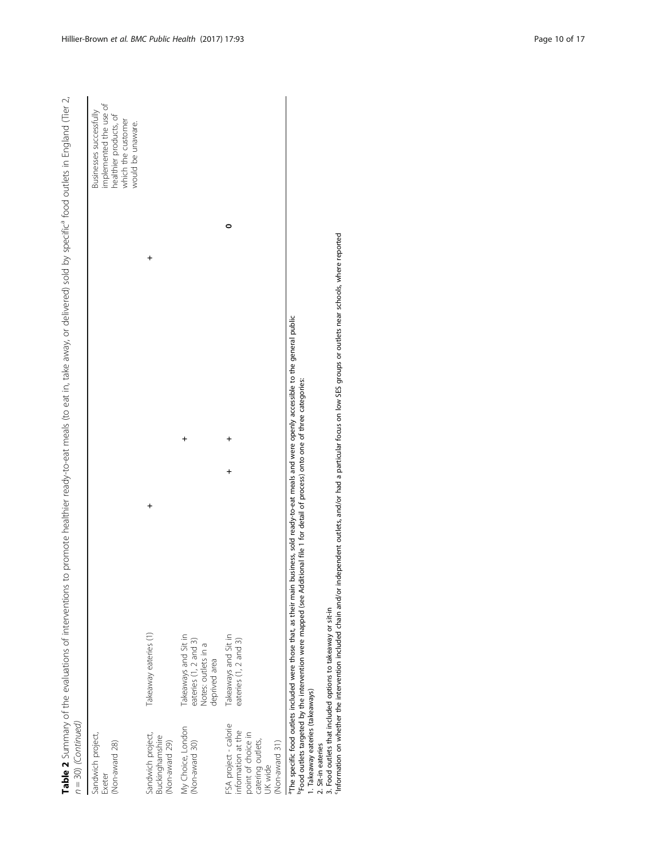| $n = 30$ ) (Continued)                                |                                                                                       | Table 2 Summary of the evaluations of interventions to promote healthier ready-to-eat meals (to eat in, take away, or delivered) sold by specific <sup>4</sup> food outlets in England (Tier 2, |  |
|-------------------------------------------------------|---------------------------------------------------------------------------------------|-------------------------------------------------------------------------------------------------------------------------------------------------------------------------------------------------|--|
| Sandwich project,<br>(Non-award 28)<br>Exeter         |                                                                                       | mplemented the use of<br>nealthier products, of<br>Businesses successfully<br>which the customer<br>vould be unaware.                                                                           |  |
| Sandwich project,<br>Buckinghamshire<br>Non-award 29) | Takeaway eateries (1)                                                                 |                                                                                                                                                                                                 |  |
| My Choice, London<br>(Non-award 30)                   | Takeaways and Sit in<br>eateries (1, 2 and 3)<br>Votes: outlets in a<br>deprived area |                                                                                                                                                                                                 |  |
| FSA project - calorie<br>information at the           | Takeaways and Sit in<br>eateries (1, 2 and 3)                                         |                                                                                                                                                                                                 |  |

FSA project - calorie<br>information at the point of choice in information at the point of choice in catering outlets,

(Non-award 31)

aThe specific food outlets included were those that, as their main business, sold ready-to-eat meals and were openly accessible to the general public

bFood outlets targeted by the intervention were mapped (see Additional file [1](#page-14-0) for detail of process) onto one of three categories:

1. Takeaway eateries (takeaways)

2. Sit-in eateries

3. Food outlets that included options to takeaway or sit-in

catering outlets,<br>UK wide<br>Phoe apecific food outlets included were those that, as their main business, sold ready-to-eat meals and were openly accessible to the general public<br>Prod outlets targeted by the intervention were cInformation on whether the intervention included chain and/or independent outlets, and/or had a particular focus on low SES groups or outlets near schools, where reported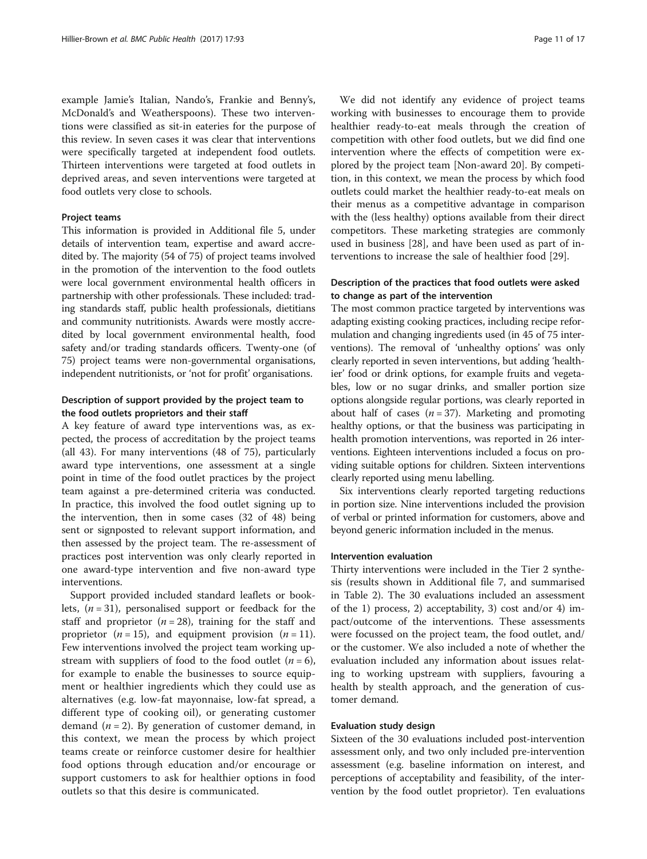example Jamie's Italian, Nando's, Frankie and Benny's, McDonald's and Weatherspoons). These two interventions were classified as sit-in eateries for the purpose of this review. In seven cases it was clear that interventions were specifically targeted at independent food outlets. Thirteen interventions were targeted at food outlets in deprived areas, and seven interventions were targeted at food outlets very close to schools.

## Project teams

This information is provided in Additional file [5](#page-14-0), under details of intervention team, expertise and award accredited by. The majority (54 of 75) of project teams involved in the promotion of the intervention to the food outlets were local government environmental health officers in partnership with other professionals. These included: trading standards staff, public health professionals, dietitians and community nutritionists. Awards were mostly accredited by local government environmental health, food safety and/or trading standards officers. Twenty-one (of 75) project teams were non-governmental organisations, independent nutritionists, or 'not for profit' organisations.

## Description of support provided by the project team to the food outlets proprietors and their staff

A key feature of award type interventions was, as expected, the process of accreditation by the project teams (all 43). For many interventions (48 of 75), particularly award type interventions, one assessment at a single point in time of the food outlet practices by the project team against a pre-determined criteria was conducted. In practice, this involved the food outlet signing up to the intervention, then in some cases (32 of 48) being sent or signposted to relevant support information, and then assessed by the project team. The re-assessment of practices post intervention was only clearly reported in one award-type intervention and five non-award type interventions.

Support provided included standard leaflets or booklets,  $(n = 31)$ , personalised support or feedback for the staff and proprietor ( $n = 28$ ), training for the staff and proprietor ( $n = 15$ ), and equipment provision ( $n = 11$ ). Few interventions involved the project team working upstream with suppliers of food to the food outlet  $(n = 6)$ , for example to enable the businesses to source equipment or healthier ingredients which they could use as alternatives (e.g. low-fat mayonnaise, low-fat spread, a different type of cooking oil), or generating customer demand  $(n = 2)$ . By generation of customer demand, in this context, we mean the process by which project teams create or reinforce customer desire for healthier food options through education and/or encourage or support customers to ask for healthier options in food outlets so that this desire is communicated.

We did not identify any evidence of project teams working with businesses to encourage them to provide healthier ready-to-eat meals through the creation of competition with other food outlets, but we did find one intervention where the effects of competition were explored by the project team [Non-award 20]. By competition, in this context, we mean the process by which food outlets could market the healthier ready-to-eat meals on their menus as a competitive advantage in comparison with the (less healthy) options available from their direct competitors. These marketing strategies are commonly used in business [\[28](#page-16-0)], and have been used as part of interventions to increase the sale of healthier food [\[29\]](#page-16-0).

## Description of the practices that food outlets were asked to change as part of the intervention

The most common practice targeted by interventions was adapting existing cooking practices, including recipe reformulation and changing ingredients used (in 45 of 75 interventions). The removal of 'unhealthy options' was only clearly reported in seven interventions, but adding 'healthier' food or drink options, for example fruits and vegetables, low or no sugar drinks, and smaller portion size options alongside regular portions, was clearly reported in about half of cases ( $n = 37$ ). Marketing and promoting healthy options, or that the business was participating in health promotion interventions, was reported in 26 interventions. Eighteen interventions included a focus on providing suitable options for children. Sixteen interventions clearly reported using menu labelling.

Six interventions clearly reported targeting reductions in portion size. Nine interventions included the provision of verbal or printed information for customers, above and beyond generic information included in the menus.

## Intervention evaluation

Thirty interventions were included in the Tier 2 synthesis (results shown in Additional file [7,](#page-14-0) and summarised in Table [2\)](#page-5-0). The 30 evaluations included an assessment of the 1) process, 2) acceptability, 3) cost and/or 4) impact/outcome of the interventions. These assessments were focussed on the project team, the food outlet, and/ or the customer. We also included a note of whether the evaluation included any information about issues relating to working upstream with suppliers, favouring a health by stealth approach, and the generation of customer demand.

#### Evaluation study design

Sixteen of the 30 evaluations included post-intervention assessment only, and two only included pre-intervention assessment (e.g. baseline information on interest, and perceptions of acceptability and feasibility, of the intervention by the food outlet proprietor). Ten evaluations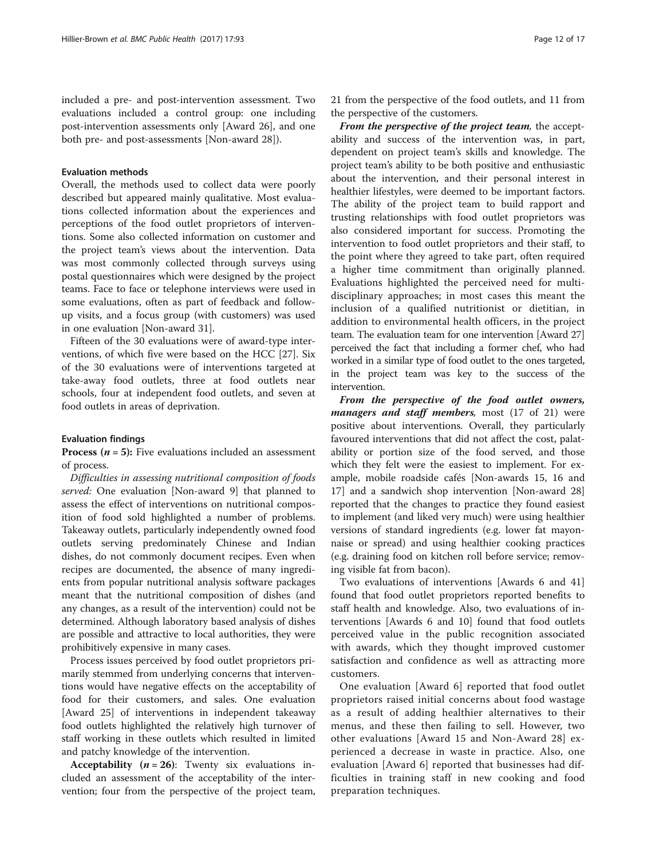included a pre- and post-intervention assessment. Two evaluations included a control group: one including post-intervention assessments only [Award 26], and one both pre- and post-assessments [Non-award 28]).

### Evaluation methods

Overall, the methods used to collect data were poorly described but appeared mainly qualitative. Most evaluations collected information about the experiences and perceptions of the food outlet proprietors of interventions. Some also collected information on customer and the project team's views about the intervention. Data was most commonly collected through surveys using postal questionnaires which were designed by the project teams. Face to face or telephone interviews were used in some evaluations, often as part of feedback and followup visits, and a focus group (with customers) was used in one evaluation [Non-award 31].

Fifteen of the 30 evaluations were of award-type interventions, of which five were based on the HCC [[27\]](#page-16-0). Six of the 30 evaluations were of interventions targeted at take-away food outlets, three at food outlets near schools, four at independent food outlets, and seven at food outlets in areas of deprivation.

#### Evaluation findings

**Process (** $n = 5$ **):** Five evaluations included an assessment of process.

Difficulties in assessing nutritional composition of foods served: One evaluation [Non-award 9] that planned to assess the effect of interventions on nutritional composition of food sold highlighted a number of problems. Takeaway outlets, particularly independently owned food outlets serving predominately Chinese and Indian dishes, do not commonly document recipes. Even when recipes are documented, the absence of many ingredients from popular nutritional analysis software packages meant that the nutritional composition of dishes (and any changes, as a result of the intervention) could not be determined. Although laboratory based analysis of dishes are possible and attractive to local authorities, they were prohibitively expensive in many cases.

Process issues perceived by food outlet proprietors primarily stemmed from underlying concerns that interventions would have negative effects on the acceptability of food for their customers, and sales. One evaluation [Award 25] of interventions in independent takeaway food outlets highlighted the relatively high turnover of staff working in these outlets which resulted in limited and patchy knowledge of the intervention.

Acceptability  $(n = 26)$ : Twenty six evaluations included an assessment of the acceptability of the intervention; four from the perspective of the project team, 21 from the perspective of the food outlets, and 11 from the perspective of the customers.

From the perspective of the project team, the acceptability and success of the intervention was, in part, dependent on project team's skills and knowledge. The project team's ability to be both positive and enthusiastic about the intervention, and their personal interest in healthier lifestyles, were deemed to be important factors. The ability of the project team to build rapport and trusting relationships with food outlet proprietors was also considered important for success. Promoting the intervention to food outlet proprietors and their staff, to the point where they agreed to take part, often required a higher time commitment than originally planned. Evaluations highlighted the perceived need for multidisciplinary approaches; in most cases this meant the inclusion of a qualified nutritionist or dietitian, in addition to environmental health officers, in the project team. The evaluation team for one intervention [Award 27] perceived the fact that including a former chef, who had worked in a similar type of food outlet to the ones targeted, in the project team was key to the success of the intervention.

From the perspective of the food outlet owners, managers and staff members, most (17 of 21) were positive about interventions. Overall, they particularly favoured interventions that did not affect the cost, palatability or portion size of the food served, and those which they felt were the easiest to implement. For example, mobile roadside cafés [Non-awards 15, 16 and 17] and a sandwich shop intervention [Non-award 28] reported that the changes to practice they found easiest to implement (and liked very much) were using healthier versions of standard ingredients (e.g. lower fat mayonnaise or spread) and using healthier cooking practices (e.g. draining food on kitchen roll before service; removing visible fat from bacon).

Two evaluations of interventions [Awards 6 and 41] found that food outlet proprietors reported benefits to staff health and knowledge. Also, two evaluations of interventions [Awards 6 and 10] found that food outlets perceived value in the public recognition associated with awards, which they thought improved customer satisfaction and confidence as well as attracting more customers.

One evaluation [Award 6] reported that food outlet proprietors raised initial concerns about food wastage as a result of adding healthier alternatives to their menus, and these then failing to sell. However, two other evaluations [Award 15 and Non-Award 28] experienced a decrease in waste in practice. Also, one evaluation [Award 6] reported that businesses had difficulties in training staff in new cooking and food preparation techniques.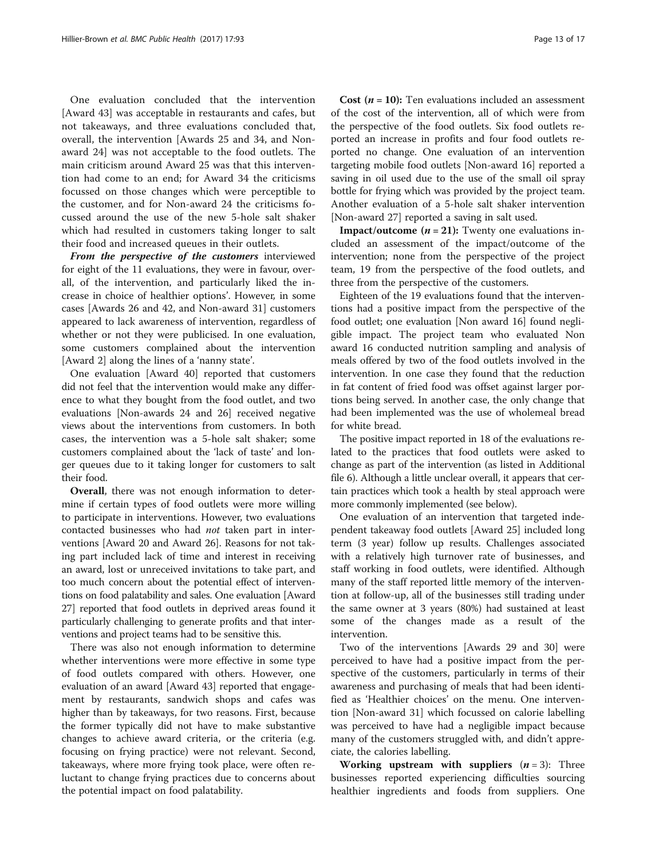One evaluation concluded that the intervention [Award 43] was acceptable in restaurants and cafes, but not takeaways, and three evaluations concluded that, overall, the intervention [Awards 25 and 34, and Nonaward 24] was not acceptable to the food outlets. The main criticism around Award 25 was that this intervention had come to an end; for Award 34 the criticisms focussed on those changes which were perceptible to the customer, and for Non-award 24 the criticisms focussed around the use of the new 5-hole salt shaker which had resulted in customers taking longer to salt their food and increased queues in their outlets.

From the perspective of the customers interviewed for eight of the 11 evaluations, they were in favour, overall, of the intervention, and particularly liked the increase in choice of healthier options'. However, in some cases [Awards 26 and 42, and Non-award 31] customers appeared to lack awareness of intervention, regardless of whether or not they were publicised. In one evaluation, some customers complained about the intervention [Award 2] along the lines of a 'nanny state'.

One evaluation [Award 40] reported that customers did not feel that the intervention would make any difference to what they bought from the food outlet, and two evaluations [Non-awards 24 and 26] received negative views about the interventions from customers. In both cases, the intervention was a 5-hole salt shaker; some customers complained about the 'lack of taste' and longer queues due to it taking longer for customers to salt their food.

Overall, there was not enough information to determine if certain types of food outlets were more willing to participate in interventions. However, two evaluations contacted businesses who had not taken part in interventions [Award 20 and Award 26]. Reasons for not taking part included lack of time and interest in receiving an award, lost or unreceived invitations to take part, and too much concern about the potential effect of interventions on food palatability and sales. One evaluation [Award 27] reported that food outlets in deprived areas found it particularly challenging to generate profits and that interventions and project teams had to be sensitive this.

There was also not enough information to determine whether interventions were more effective in some type of food outlets compared with others. However, one evaluation of an award [Award 43] reported that engagement by restaurants, sandwich shops and cafes was higher than by takeaways, for two reasons. First, because the former typically did not have to make substantive changes to achieve award criteria, or the criteria (e.g. focusing on frying practice) were not relevant. Second, takeaways, where more frying took place, were often reluctant to change frying practices due to concerns about the potential impact on food palatability.

**Cost**  $(n = 10)$ : Ten evaluations included an assessment of the cost of the intervention, all of which were from the perspective of the food outlets. Six food outlets reported an increase in profits and four food outlets reported no change. One evaluation of an intervention targeting mobile food outlets [Non-award 16] reported a saving in oil used due to the use of the small oil spray bottle for frying which was provided by the project team. Another evaluation of a 5-hole salt shaker intervention [Non-award 27] reported a saving in salt used.

**Impact/outcome**  $(n = 21)$ : Twenty one evaluations included an assessment of the impact/outcome of the intervention; none from the perspective of the project team, 19 from the perspective of the food outlets, and three from the perspective of the customers.

Eighteen of the 19 evaluations found that the interventions had a positive impact from the perspective of the food outlet; one evaluation [Non award 16] found negligible impact. The project team who evaluated Non award 16 conducted nutrition sampling and analysis of meals offered by two of the food outlets involved in the intervention. In one case they found that the reduction in fat content of fried food was offset against larger portions being served. In another case, the only change that had been implemented was the use of wholemeal bread for white bread.

The positive impact reported in 18 of the evaluations related to the practices that food outlets were asked to change as part of the intervention (as listed in Additional file [6](#page-14-0)). Although a little unclear overall, it appears that certain practices which took a health by steal approach were more commonly implemented (see below).

One evaluation of an intervention that targeted independent takeaway food outlets [Award 25] included long term (3 year) follow up results. Challenges associated with a relatively high turnover rate of businesses, and staff working in food outlets, were identified. Although many of the staff reported little memory of the intervention at follow-up, all of the businesses still trading under the same owner at 3 years (80%) had sustained at least some of the changes made as a result of the intervention.

Two of the interventions [Awards 29 and 30] were perceived to have had a positive impact from the perspective of the customers, particularly in terms of their awareness and purchasing of meals that had been identified as 'Healthier choices' on the menu. One intervention [Non-award 31] which focussed on calorie labelling was perceived to have had a negligible impact because many of the customers struggled with, and didn't appreciate, the calories labelling.

**Working upstream with suppliers**  $(n = 3)$ : Three businesses reported experiencing difficulties sourcing healthier ingredients and foods from suppliers. One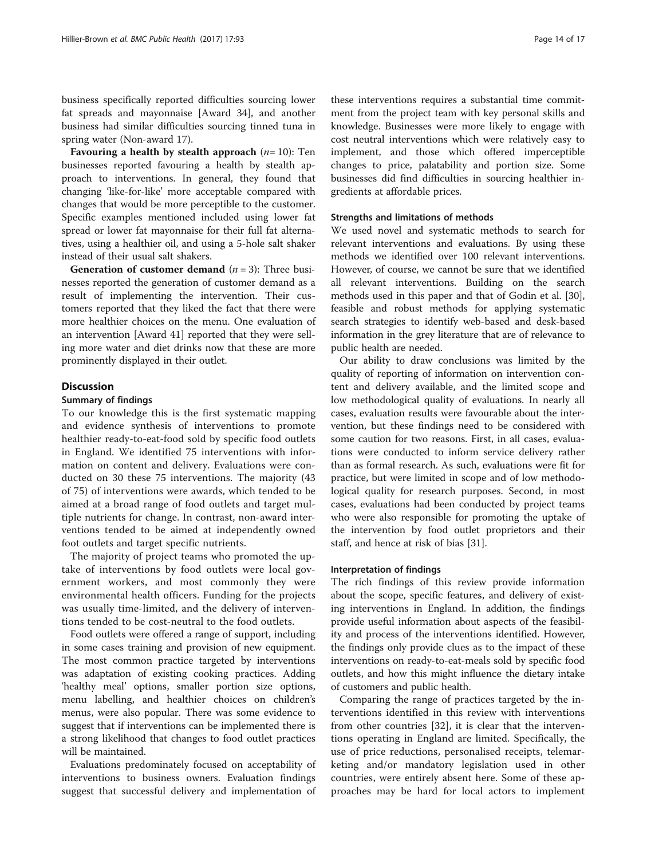business specifically reported difficulties sourcing lower fat spreads and mayonnaise [Award 34], and another business had similar difficulties sourcing tinned tuna in spring water (Non-award 17).

Favouring a health by stealth approach  $(n=10)$ : Ten businesses reported favouring a health by stealth approach to interventions. In general, they found that changing 'like-for-like' more acceptable compared with changes that would be more perceptible to the customer. Specific examples mentioned included using lower fat spread or lower fat mayonnaise for their full fat alternatives, using a healthier oil, and using a 5-hole salt shaker instead of their usual salt shakers.

**Generation of customer demand**  $(n = 3)$ : Three businesses reported the generation of customer demand as a result of implementing the intervention. Their customers reported that they liked the fact that there were more healthier choices on the menu. One evaluation of an intervention [Award 41] reported that they were selling more water and diet drinks now that these are more prominently displayed in their outlet.

## **Discussion**

#### Summary of findings

To our knowledge this is the first systematic mapping and evidence synthesis of interventions to promote healthier ready-to-eat-food sold by specific food outlets in England. We identified 75 interventions with information on content and delivery. Evaluations were conducted on 30 these 75 interventions. The majority (43 of 75) of interventions were awards, which tended to be aimed at a broad range of food outlets and target multiple nutrients for change. In contrast, non-award interventions tended to be aimed at independently owned foot outlets and target specific nutrients.

The majority of project teams who promoted the uptake of interventions by food outlets were local government workers, and most commonly they were environmental health officers. Funding for the projects was usually time-limited, and the delivery of interventions tended to be cost-neutral to the food outlets.

Food outlets were offered a range of support, including in some cases training and provision of new equipment. The most common practice targeted by interventions was adaptation of existing cooking practices. Adding 'healthy meal' options, smaller portion size options, menu labelling, and healthier choices on children's menus, were also popular. There was some evidence to suggest that if interventions can be implemented there is a strong likelihood that changes to food outlet practices will be maintained.

Evaluations predominately focused on acceptability of interventions to business owners. Evaluation findings suggest that successful delivery and implementation of these interventions requires a substantial time commitment from the project team with key personal skills and knowledge. Businesses were more likely to engage with cost neutral interventions which were relatively easy to implement, and those which offered imperceptible changes to price, palatability and portion size. Some businesses did find difficulties in sourcing healthier ingredients at affordable prices.

### Strengths and limitations of methods

We used novel and systematic methods to search for relevant interventions and evaluations. By using these methods we identified over 100 relevant interventions. However, of course, we cannot be sure that we identified all relevant interventions. Building on the search methods used in this paper and that of Godin et al. [\[30](#page-16-0)], feasible and robust methods for applying systematic search strategies to identify web-based and desk-based information in the grey literature that are of relevance to public health are needed.

Our ability to draw conclusions was limited by the quality of reporting of information on intervention content and delivery available, and the limited scope and low methodological quality of evaluations. In nearly all cases, evaluation results were favourable about the intervention, but these findings need to be considered with some caution for two reasons. First, in all cases, evaluations were conducted to inform service delivery rather than as formal research. As such, evaluations were fit for practice, but were limited in scope and of low methodological quality for research purposes. Second, in most cases, evaluations had been conducted by project teams who were also responsible for promoting the uptake of the intervention by food outlet proprietors and their staff, and hence at risk of bias [\[31](#page-16-0)].

#### Interpretation of findings

The rich findings of this review provide information about the scope, specific features, and delivery of existing interventions in England. In addition, the findings provide useful information about aspects of the feasibility and process of the interventions identified. However, the findings only provide clues as to the impact of these interventions on ready-to-eat-meals sold by specific food outlets, and how this might influence the dietary intake of customers and public health.

Comparing the range of practices targeted by the interventions identified in this review with interventions from other countries [\[32](#page-16-0)], it is clear that the interventions operating in England are limited. Specifically, the use of price reductions, personalised receipts, telemarketing and/or mandatory legislation used in other countries, were entirely absent here. Some of these approaches may be hard for local actors to implement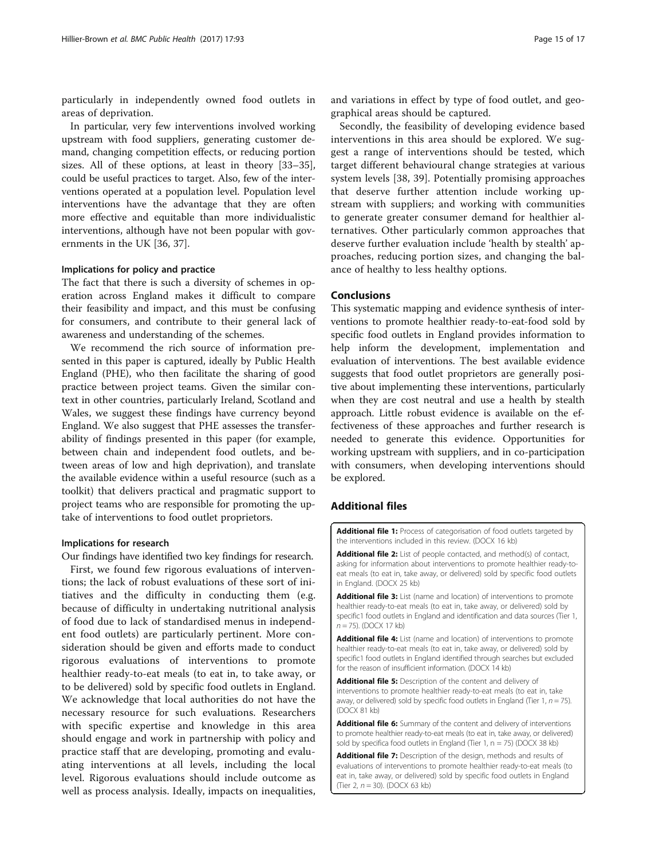<span id="page-14-0"></span>particularly in independently owned food outlets in areas of deprivation.

In particular, very few interventions involved working upstream with food suppliers, generating customer demand, changing competition effects, or reducing portion sizes. All of these options, at least in theory [[33](#page-16-0)–[35](#page-16-0)], could be useful practices to target. Also, few of the interventions operated at a population level. Population level interventions have the advantage that they are often more effective and equitable than more individualistic interventions, although have not been popular with governments in the UK [[36, 37](#page-16-0)].

#### Implications for policy and practice

The fact that there is such a diversity of schemes in operation across England makes it difficult to compare their feasibility and impact, and this must be confusing for consumers, and contribute to their general lack of awareness and understanding of the schemes.

We recommend the rich source of information presented in this paper is captured, ideally by Public Health England (PHE), who then facilitate the sharing of good practice between project teams. Given the similar context in other countries, particularly Ireland, Scotland and Wales, we suggest these findings have currency beyond England. We also suggest that PHE assesses the transferability of findings presented in this paper (for example, between chain and independent food outlets, and between areas of low and high deprivation), and translate the available evidence within a useful resource (such as a toolkit) that delivers practical and pragmatic support to project teams who are responsible for promoting the uptake of interventions to food outlet proprietors.

#### Implications for research

Our findings have identified two key findings for research. First, we found few rigorous evaluations of interventions; the lack of robust evaluations of these sort of initiatives and the difficulty in conducting them (e.g. because of difficulty in undertaking nutritional analysis of food due to lack of standardised menus in independent food outlets) are particularly pertinent. More consideration should be given and efforts made to conduct rigorous evaluations of interventions to promote healthier ready-to-eat meals (to eat in, to take away, or to be delivered) sold by specific food outlets in England. We acknowledge that local authorities do not have the necessary resource for such evaluations. Researchers with specific expertise and knowledge in this area should engage and work in partnership with policy and practice staff that are developing, promoting and evaluating interventions at all levels, including the local level. Rigorous evaluations should include outcome as well as process analysis. Ideally, impacts on inequalities,

Secondly, the feasibility of developing evidence based interventions in this area should be explored. We suggest a range of interventions should be tested, which target different behavioural change strategies at various system levels [\[38](#page-16-0), [39\]](#page-16-0). Potentially promising approaches that deserve further attention include working upstream with suppliers; and working with communities to generate greater consumer demand for healthier alternatives. Other particularly common approaches that deserve further evaluation include 'health by stealth' approaches, reducing portion sizes, and changing the balance of healthy to less healthy options.

### Conclusions

This systematic mapping and evidence synthesis of interventions to promote healthier ready-to-eat-food sold by specific food outlets in England provides information to help inform the development, implementation and evaluation of interventions. The best available evidence suggests that food outlet proprietors are generally positive about implementing these interventions, particularly when they are cost neutral and use a health by stealth approach. Little robust evidence is available on the effectiveness of these approaches and further research is needed to generate this evidence. Opportunities for working upstream with suppliers, and in co-participation with consumers, when developing interventions should be explored.

### Additional files

[Additional file 1:](dx.doi.org/10.1186/s12889-016-3980-2) Process of categorisation of food outlets targeted by the interventions included in this review. (DOCX 16 kb)

[Additional file 2:](dx.doi.org/10.1186/s12889-016-3980-2) List of people contacted, and method(s) of contact, asking for information about interventions to promote healthier ready-toeat meals (to eat in, take away, or delivered) sold by specific food outlets in England. (DOCX 25 kb)

[Additional file 3:](dx.doi.org/10.1186/s12889-016-3980-2) List (name and location) of interventions to promote healthier ready-to-eat meals (to eat in, take away, or delivered) sold by specific1 food outlets in England and identification and data sources (Tier 1, n = 75). (DOCX 17 kb)

[Additional file 4:](dx.doi.org/10.1186/s12889-016-3980-2) List (name and location) of interventions to promote healthier ready-to-eat meals (to eat in, take away, or delivered) sold by specific1 food outlets in England identified through searches but excluded for the reason of insufficient information. (DOCX 14 kb)

[Additional file 5:](dx.doi.org/10.1186/s12889-016-3980-2) Description of the content and delivery of interventions to promote healthier ready-to-eat meals (to eat in, take away, or delivered) sold by specific food outlets in England (Tier 1,  $n = 75$ ). (DOCX 81 kb)

[Additional file 6:](dx.doi.org/10.1186/s12889-016-3980-2) Summary of the content and delivery of interventions to promote healthier ready-to-eat meals (to eat in, take away, or delivered) sold by specifica food outlets in England (Tier 1,  $n = 75$ ) (DOCX 38 kb)

[Additional file 7:](dx.doi.org/10.1186/s12889-016-3980-2) Description of the design, methods and results of evaluations of interventions to promote healthier ready-to-eat meals (to eat in, take away, or delivered) sold by specific food outlets in England (Tier 2,  $n = 30$ ). (DOCX 63 kb)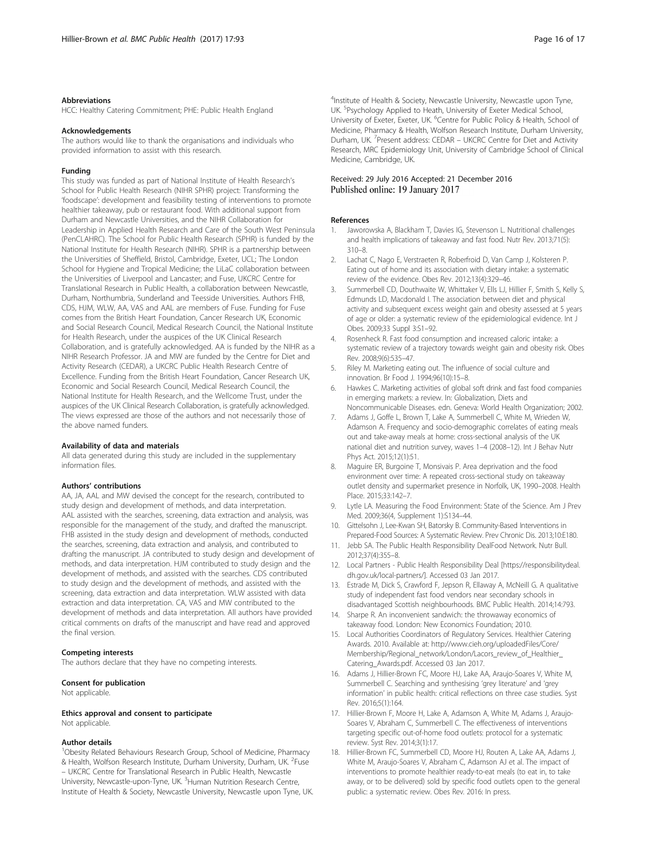#### <span id="page-15-0"></span>Abbreviations

HCC: Healthy Catering Commitment; PHE: Public Health England

#### Acknowledgements

The authors would like to thank the organisations and individuals who provided information to assist with this research.

#### Funding

This study was funded as part of National Institute of Health Research's School for Public Health Research (NIHR SPHR) project: Transforming the 'foodscape': development and feasibility testing of interventions to promote healthier takeaway, pub or restaurant food. With additional support from Durham and Newcastle Universities, and the NIHR Collaboration for Leadership in Applied Health Research and Care of the South West Peninsula (PenCLAHRC). The School for Public Health Research (SPHR) is funded by the National Institute for Health Research (NIHR). SPHR is a partnership between the Universities of Sheffield, Bristol, Cambridge, Exeter, UCL; The London School for Hygiene and Tropical Medicine; the LiLaC collaboration between the Universities of Liverpool and Lancaster; and Fuse, UKCRC Centre for Translational Research in Public Health, a collaboration between Newcastle, Durham, Northumbria, Sunderland and Teesside Universities. Authors FHB, CDS, HJM, WLW, AA, VAS and AAL are members of Fuse. Funding for Fuse comes from the British Heart Foundation, Cancer Research UK, Economic and Social Research Council, Medical Research Council, the National Institute for Health Research, under the auspices of the UK Clinical Research Collaboration, and is gratefully acknowledged. AA is funded by the NIHR as a NIHR Research Professor. JA and MW are funded by the Centre for Diet and Activity Research (CEDAR), a UKCRC Public Health Research Centre of Excellence. Funding from the British Heart Foundation, Cancer Research UK, Economic and Social Research Council, Medical Research Council, the National Institute for Health Research, and the Wellcome Trust, under the auspices of the UK Clinical Research Collaboration, is gratefully acknowledged. The views expressed are those of the authors and not necessarily those of the above named funders.

#### Availability of data and materials

All data generated during this study are included in the supplementary information files.

#### Authors' contributions

AA, JA, AAL and MW devised the concept for the research, contributed to study design and development of methods, and data interpretation. AAL assisted with the searches, screening, data extraction and analysis, was responsible for the management of the study, and drafted the manuscript. FHB assisted in the study design and development of methods, conducted the searches, screening, data extraction and analysis, and contributed to drafting the manuscript. JA contributed to study design and development of methods, and data interpretation. HJM contributed to study design and the development of methods, and assisted with the searches. CDS contributed to study design and the development of methods, and assisted with the screening, data extraction and data interpretation. WLW assisted with data extraction and data interpretation. CA, VAS and MW contributed to the development of methods and data interpretation. All authors have provided critical comments on drafts of the manuscript and have read and approved the final version.

#### Competing interests

The authors declare that they have no competing interests.

#### Consent for publication

Not applicable.

#### Ethics approval and consent to participate

Not applicable.

#### Author details

<sup>1</sup>Obesity Related Behaviours Research Group, School of Medicine, Pharmacy & Health, Wolfson Research Institute, Durham University, Durham, UK. <sup>2</sup>Fuse – UKCRC Centre for Translational Research in Public Health, Newcastle University, Newcastle-upon-Tyne, UK. <sup>3</sup>Human Nutrition Research Centre, Institute of Health & Society, Newcastle University, Newcastle upon Tyne, UK.

<sup>4</sup>Institute of Health & Society, Newcastle University, Newcastle upon Tyne UK. <sup>5</sup>Psychology Applied to Heath, University of Exeter Medical School University of Exeter, Exeter, UK. <sup>6</sup>Centre for Public Policy & Health, School of Medicine, Pharmacy & Health, Wolfson Research Institute, Durham University, Durham, UK.<sup>7</sup> Present address: CEDAR - UKCRC Centre for Diet and Activity Research, MRC Epidemiology Unit, University of Cambridge School of Clinical Medicine, Cambridge, UK.

#### Received: 29 July 2016 Accepted: 21 December 2016 Published online: 19 January 2017

#### References

- 1. Jaworowska A, Blackham T, Davies IG, Stevenson L. Nutritional challenges and health implications of takeaway and fast food. Nutr Rev. 2013;71(5): 310–8.
- 2. Lachat C, Nago E, Verstraeten R, Roberfroid D, Van Camp J, Kolsteren P. Eating out of home and its association with dietary intake: a systematic review of the evidence. Obes Rev. 2012;13(4):329–46.
- 3. Summerbell CD, Douthwaite W, Whittaker V, Ells LJ, Hillier F, Smith S, Kelly S, Edmunds LD, Macdonald I. The association between diet and physical activity and subsequent excess weight gain and obesity assessed at 5 years of age or older: a systematic review of the epidemiological evidence. Int J Obes. 2009;33 Suppl 3:S1–92.
- 4. Rosenheck R. Fast food consumption and increased caloric intake: a systematic review of a trajectory towards weight gain and obesity risk. Obes Rev. 2008;9(6):535–47.
- 5. Riley M. Marketing eating out. The influence of social culture and innovation. Br Food J. 1994;96(10):15–8.
- 6. Hawkes C. Marketing activities of global soft drink and fast food companies in emerging markets: a review. In: Globalization, Diets and Noncommunicable Diseases. edn. Geneva: World Health Organization; 2002.
- 7. Adams J, Goffe L, Brown T, Lake A, Summerbell C, White M, Wrieden W, Adamson A. Frequency and socio-demographic correlates of eating meals out and take-away meals at home: cross-sectional analysis of the UK national diet and nutrition survey, waves 1–4 (2008–12). Int J Behav Nutr Phys Act. 2015;12(1):51.
- 8. Maguire ER, Burgoine T, Monsivais P. Area deprivation and the food environment over time: A repeated cross-sectional study on takeaway outlet density and supermarket presence in Norfolk, UK, 1990–2008. Health Place. 2015;33:142–7.
- 9. Lytle LA. Measuring the Food Environment: State of the Science. Am J Prev Med. 2009;36(4, Supplement 1):S134–44.
- 10. Gittelsohn J, Lee-Kwan SH, Batorsky B. Community-Based Interventions in Prepared-Food Sources: A Systematic Review. Prev Chronic Dis. 2013;10:E180.
- 11. Jebb SA. The Public Health Responsibility DealFood Network. Nutr Bull. 2012;37(4):355–8.
- 12. Local Partners Public Health Responsibility Deal [\[https://responsibilitydeal.](https://responsibilitydeal.dh.gov.uk/local-partners/) [dh.gov.uk/local-partners/](https://responsibilitydeal.dh.gov.uk/local-partners/)]. Accessed 03 Jan 2017.
- 13. Estrade M, Dick S, Crawford F, Jepson R, Ellaway A, McNeill G. A qualitative study of independent fast food vendors near secondary schools in disadvantaged Scottish neighbourhoods. BMC Public Health. 2014;14:793.
- 14. Sharpe R. An inconvenient sandwich: the throwaway economics of takeaway food. London: New Economics Foundation; 2010.
- 15. Local Authorities Coordinators of Regulatory Services. Healthier Catering Awards. 2010. Available at: [http://www.cieh.org/uploadedFiles/Core/](http://www.cieh.org/uploadedFiles/Core/Membership/Regional_network/London/Lacors_review_of_Healthier_Catering_Awards.pdf) [Membership/Regional\\_network/London/Lacors\\_review\\_of\\_Healthier\\_](http://www.cieh.org/uploadedFiles/Core/Membership/Regional_network/London/Lacors_review_of_Healthier_Catering_Awards.pdf) [Catering\\_Awards.pdf.](http://www.cieh.org/uploadedFiles/Core/Membership/Regional_network/London/Lacors_review_of_Healthier_Catering_Awards.pdf) Accessed 03 Jan 2017.
- 16. Adams J, Hillier-Brown FC, Moore HJ, Lake AA, Araujo-Soares V, White M, Summerbell C. Searching and synthesising 'grey literature' and 'grey information' in public health: critical reflections on three case studies. Syst Rev. 2016;5(1):164.
- 17. Hillier-Brown F, Moore H, Lake A, Adamson A, White M, Adams J, Araujo-Soares V, Abraham C, Summerbell C. The effectiveness of interventions targeting specific out-of-home food outlets: protocol for a systematic review. Syst Rev. 2014;3(1):17.
- 18. Hillier-Brown FC, Summerbell CD, Moore HJ, Routen A, Lake AA, Adams J, White M, Araujo-Soares V, Abraham C, Adamson AJ et al. The impact of interventions to promote healthier ready-to-eat meals (to eat in, to take away, or to be delivered) sold by specific food outlets open to the general public: a systematic review. Obes Rev. 2016: In press.